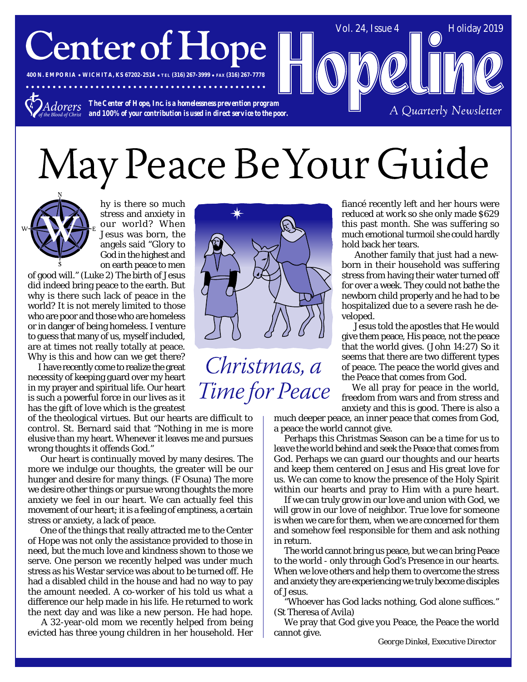# **Center of Hope**

**400 N. EMPORIA WICHITA, KS 67202-2514 TEL (316) 267-3999 FAX (316) 267-7778**

*The Center of Hope, Inc. is a homelessness prevention program Adorers and 100% of your contribution is used in direct service to the poor.*

# May Peace Be Your Guide



hy is there so much stress and anxiety in our world? When Jesus was born, the angels said "Glory to God in the highest and on earth peace to men

of good will." (Luke 2) The birth of Jesus did indeed bring peace to the earth. But why is there such lack of peace in the world? It is not merely limited to those who are poor and those who are homeless or in danger of being homeless. I venture to guess that many of us, myself included, are at times not really totally at peace. Why is this and how can we get there?

I have recently come to realize the great necessity of keeping guard over my heart in my prayer and spiritual life. Our heart is such a powerful force in our lives as it has the gift of love which is the greatest

of the theological virtues. But our hearts are difficult to control. St. Bernard said that "Nothing in me is more elusive than my heart. Whenever it leaves me and pursues wrong thoughts it offends God."

 Our heart is continually moved by many desires. The more we indulge our thoughts, the greater will be our hunger and desire for many things. (F Osuna) The more we desire other things or pursue wrong thoughts the more anxiety we feel in our heart. We can actually feel this movement of our heart; it is a feeling of emptiness, a certain stress or anxiety, a lack of peace.

 One of the things that really attracted me to the Center of Hope was not only the assistance provided to those in need, but the much love and kindness shown to those we serve. One person we recently helped was under much stress as his Westar service was about to be turned off. He had a disabled child in the house and had no way to pay the amount needed. A co-worker of his told us what a difference our help made in his life. He returned to work the next day and was like a new person. He had hope.

 A 32-year-old mom we recently helped from being evicted has three young children in her household. Her



Christmas, a Time for Peace fiancé recently left and her hours were reduced at work so she only made \$629 this past month. She was suffering so much emotional turmoil she could hardly hold back her tears.

Vol. 24, Issue  $4 \quad \boxed{\qquad}$  Holiday 2019

A Quarterly Newsletter

 Another family that just had a newborn in their household was suffering stress from having their water turned off for over a week. They could not bathe the newborn child properly and he had to be hospitalized due to a severe rash he developed.

 Jesus told the apostles that He would give them peace, *His peace*, not the peace that the world gives. (John 14:27) So it seems that there are two different types of peace. The peace the world gives and the Peace that comes from God.

We all pray for peace in the world, freedom from wars and from stress and anxiety and this is good. There is also a

much deeper peace, an inner peace that comes from God, a peace the world cannot give.

Perhaps this Christmas Season can be a time for us to *leave the world behind* and seek the Peace that comes from God. Perhaps we can guard our thoughts and our hearts and keep them centered on Jesus and His great love for us. We can come to know the presence of the Holy Spirit within our hearts and pray to Him with a pure heart.

If we can truly grow in our love and union with God, we will grow in our love of neighbor. True love for someone is when we care for them, when we are concerned for them and somehow feel responsible for them and ask nothing in return.

The world cannot bring us peace, but we can bring Peace to the world - only through God's Presence in our hearts. When we love others and help them to overcome the stress and anxiety they are experiencing we truly become disciples of Jesus.

"Whoever has God lacks nothing, God alone suffices." (St Theresa of Avila)

We pray that God give you Peace, the Peace the world cannot give.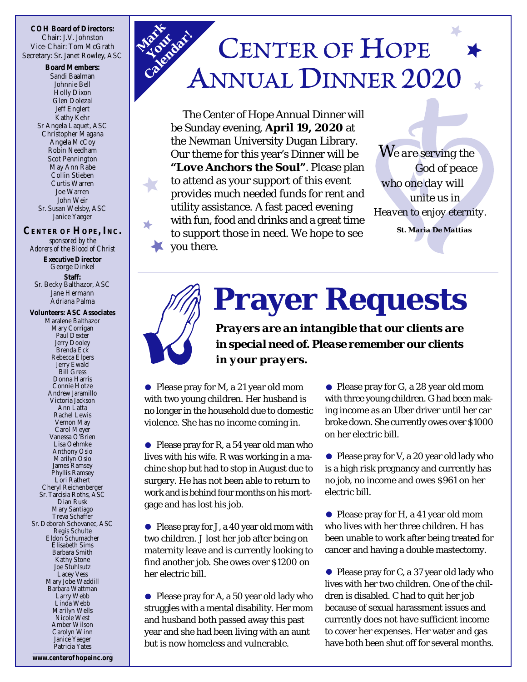**COH Board of Directors:** Chair: J.V. Johnston Vice-Chair: Tom McGrath Secretary: Sr. Janet Rowley, ASC

> **Board Members:** Sandi Baalman Johnnie Bell Holly Dixon Glen Dolezal Jeff Englert Kathy Kehr Sr Angela Laquet, ASC Christopher Magana Angela McCoy Robin Needham Scot Pennington May Ann Rabe Collin Stieben Curtis Warren Joe Warren John Weir Sr. Susan Welsby, ASC Janice Yaeger

**CENTER OF HOPE, INC.** *sponsored by the Adorers of the Blood of Christ* **Executive Director** George Dinkel

> **Staff:** Sr. Becky Balthazor, ASC Jane Hermann Adriana Palma

**Volunteers: ASC Associates** Maralene Balthazor Mary Corrigan Paul Dexter Jerry Dooley Brenda Eck Rebecca Elpers Jerry Ewald Bill Gress Donna Harris Connie Hotze Andrew Jaramillo Victoria Jackson Ann Latta Rachel Lewis Vernon May Carol Meyer Vanessa O'Brien Lisa Oehmke Anthony Osio Marilyn Osio James Ramsey Phyllis Ramsey Lori Rathert Cheryl Reichenberger Sr. Tarcisia Roths, ASC Dian Rusk Mary Santiago Treva Schaffer Sr. Deborah Schovanec, ASC Regis Schulte Eldon Schumacher Elisabeth Sims Barbara Smith Kathy Stone Joe Stuhlsutz Lacey Vess Mary Jobe Waddill Barbara Wattman Larry Webb Linda Webb Marilyn Wells Nicole West Amber Wilson Carolyn Winn Janice Yaeger Patricia Yates

## *Mark Your Calendar!***CENTER OF HOPE**

The Center of Hope Annual Dinner will be Sunday evening, **April 19, 2020** at the Newman University Dugan Library. Our theme for this year's Dinner will be *"Love Anchors the Soul"*. Please plan to attend as your support of this event provides much needed funds for rent and utility assistance. A fast paced evening with fun, food and drinks and a great time to support those in need. We hope to see you there.

 *We are serving the God of peace who one day will unite us in Heaven to enjoy eternity. St. Maria De Mattias*

**Prayer Requests**

*Prayers are an intangible that our clients are in special need of. Please remember our clients in your prayers.*

• Please pray for M, a 21 year old mom with two young children. Her husband is no longer in the household due to domestic violence. She has no income coming in.

• Please pray for R, a 54 year old man who lives with his wife. R was working in a machine shop but had to stop in August due to surgery. He has not been able to return to work and is behind four months on his mortgage and has lost his job.

• Please pray for J, a 40 year old mom with two children. J lost her job after being on maternity leave and is currently looking to find another job. She owes over \$1200 on her electric bill.

• Please pray for A, a 50 year old lady who struggles with a mental disability. Her mom and husband both passed away this past year and she had been living with an aunt but is now homeless and vulnerable.

Please pray for G, a 28 year old mom with three young children. G had been making income as an Uber driver until her car broke down. She currently owes over \$1000 on her electric bill.

Please pray for V, a 20 year old lady who is a high risk pregnancy and currently has no job, no income and owes \$961 on her electric bill.

● Please pray for H, a 41 year old mom who lives with her three children. H has been unable to work after being treated for cancer and having a double mastectomy.

• Please pray for C, a 37 year old lady who lives with her two children. One of the children is disabled. C had to quit her job because of sexual harassment issues and currently does not have sufficient income to cover her expenses. Her water and gas have both been shut off for several months.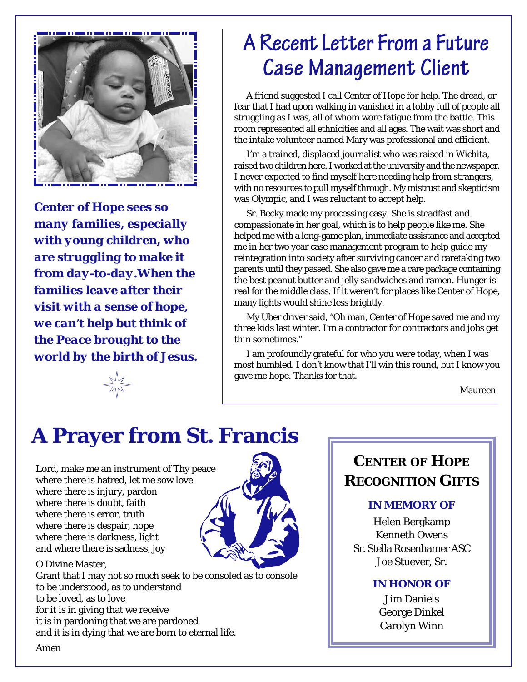

*Center of Hope sees so many families, especially with young children, who are struggling to make it from day-to-day.When the families leave after their visit with a sense of hope, we can't help but think of the Peace brought to the world by the birth of Jesus.*

### A Recent Letter From a Future **Case Management Client**

A friend suggested I call Center of Hope for help. The dread, or fear that I had upon walking in vanished in a lobby full of people all struggling as I was, all of whom wore fatigue from the battle. This room represented all ethnicities and all ages. The wait was short and the intake volunteer named Mary was professional and efficient.

I'm a trained, displaced journalist who was raised in Wichita, raised two children here. I worked at the university and the newspaper. I never expected to find myself here needing help from strangers, with no resources to pull myself through. My mistrust and skepticism was Olympic, and I was reluctant to accept help.

Sr. Becky made my processing easy. She is steadfast and compassionate in her goal, which is to help people like me. She helped me with a long-game plan, immediate assistance and accepted me in her two year case management program to help guide my reintegration into society after surviving cancer and caretaking two parents until they passed. She also gave me a care package containing the best peanut butter and jelly sandwiches and ramen. Hunger is real for the middle class. If it weren't for places like Center of Hope, many lights would shine less brightly.

My Uber driver said, "Oh man, Center of Hope saved me and my three kids last winter. I'm a contractor for contractors and jobs get thin sometimes."

I am profoundly grateful for who you were today, when I was most humbled. I don't know that I'll win this round, but I know you gave me hope. Thanks for that.

Maureen

## **A Prayer from St. Francis**

Lord, make me an instrument of Thy peace where there is hatred, let me sow love where there is injury, pardon where there is doubt, faith where there is error, truth where there is despair, hope where there is darkness, light and where there is sadness, joy

O Divine Master,

Grant that I may not so much seek to be consoled as to console to be understood, as to understand to be loved, as to love for it is in giving that we receive it is in pardoning that we are pardoned and it is in dying that we are born to eternal life.

#### **CENTER OF HOPE RECOGNITION GIFTS**

#### **IN MEMORY OF**

Helen Bergkamp Kenneth Owens Sr. Stella Rosenhamer ASC Joe Stuever, Sr.

#### **IN HONOR OF**

Jim Daniels George Dinkel Carolyn Winn

Amen